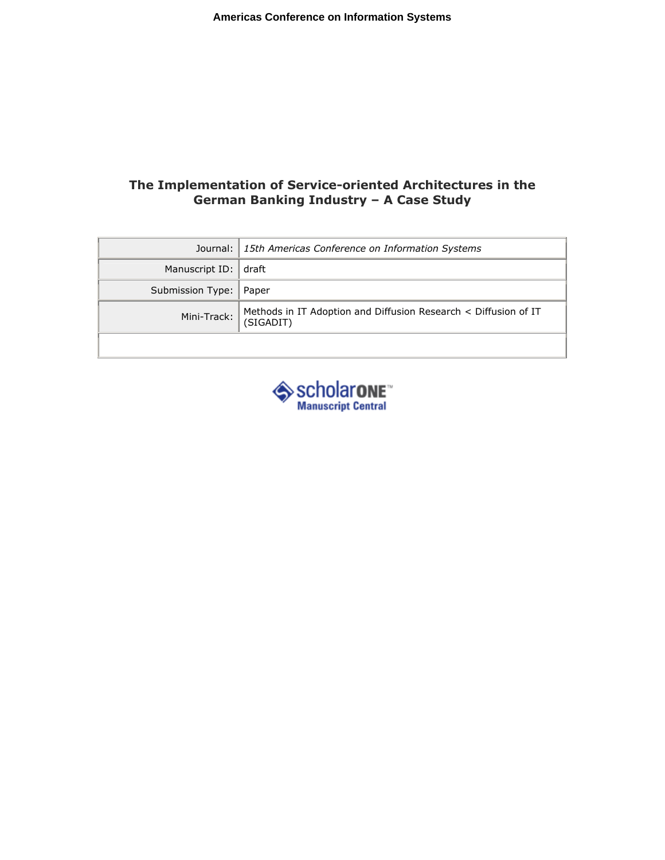## The Implementation of Service-oriented Architectures in the German Banking Industry – A Case Study

|                                                                                       | Journal: 15th Americas Conference on Information Systems |  |
|---------------------------------------------------------------------------------------|----------------------------------------------------------|--|
| Manuscript ID:                                                                        | l draft                                                  |  |
| Submission Type:   Paper                                                              |                                                          |  |
| Mini-Track: Methods in IT Adoption and Diffusion Research < Diffusion of IT (SIGADIT) |                                                          |  |
|                                                                                       |                                                          |  |

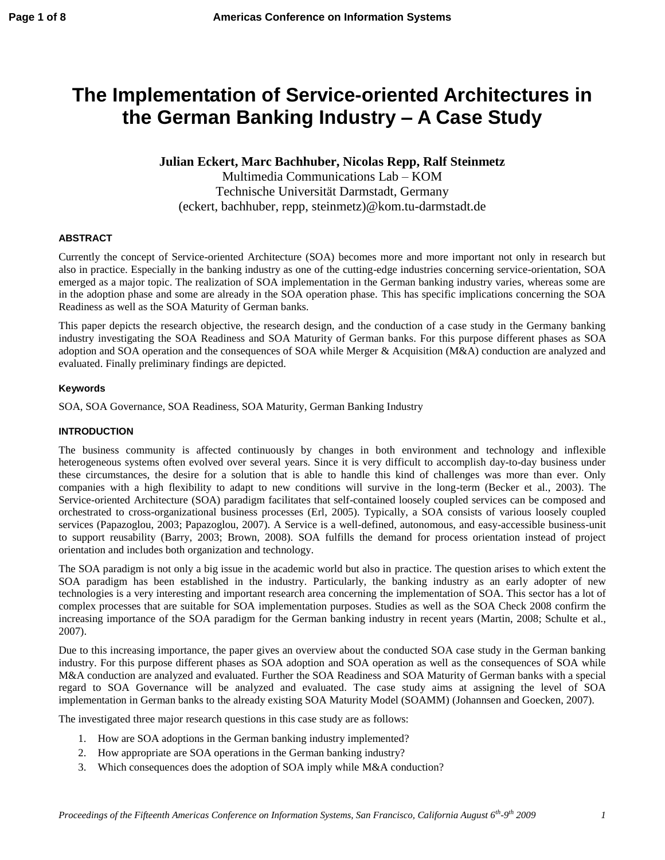# **The Implementation of Service-oriented Architectures in the German Banking Industry – A Case Study**

## **Julian Eckert, Marc Bachhuber, Nicolas Repp, Ralf Steinmetz**

Multimedia Communications Lab – KOM Technische Universität Darmstadt, Germany (eckert, bachhuber, repp, steinmetz)@kom.tu-darmstadt.de

#### **ABSTRACT**

Currently the concept of Service-oriented Architecture (SOA) becomes more and more important not only in research but also in practice. Especially in the banking industry as one of the cutting-edge industries concerning service-orientation, SOA emerged as a major topic. The realization of SOA implementation in the German banking industry varies, whereas some are in the adoption phase and some are already in the SOA operation phase. This has specific implications concerning the SOA Readiness as well as the SOA Maturity of German banks.

This paper depicts the research objective, the research design, and the conduction of a case study in the Germany banking industry investigating the SOA Readiness and SOA Maturity of German banks. For this purpose different phases as SOA adoption and SOA operation and the consequences of SOA while Merger & Acquisition (M&A) conduction are analyzed and evaluated. Finally preliminary findings are depicted.

### **Keywords**

SOA, SOA Governance, SOA Readiness, SOA Maturity, German Banking Industry

## **INTRODUCTION**

The business community is affected continuously by changes in both environment and technology and inflexible heterogeneous systems often evolved over several years. Since it is very difficult to accomplish day-to-day business under these circumstances, the desire for a solution that is able to handle this kind of challenges was more than ever. Only companies with a high flexibility to adapt to new conditions will survive in the long-term (Becker et al., 2003). The Service-oriented Architecture (SOA) paradigm facilitates that self-contained loosely coupled services can be composed and orchestrated to cross-organizational business processes (Erl, 2005). Typically, a SOA consists of various loosely coupled services (Papazoglou, 2003; Papazoglou, 2007). A Service is a well-defined, autonomous, and easy-accessible business-unit to support reusability (Barry, 2003; Brown, 2008). SOA fulfills the demand for process orientation instead of project orientation and includes both organization and technology.

The SOA paradigm is not only a big issue in the academic world but also in practice. The question arises to which extent the SOA paradigm has been established in the industry. Particularly, the banking industry as an early adopter of new technologies is a very interesting and important research area concerning the implementation of SOA. This sector has a lot of complex processes that are suitable for SOA implementation purposes. Studies as well as the SOA Check 2008 confirm the increasing importance of the SOA paradigm for the German banking industry in recent years (Martin, 2008; Schulte et al., 2007).

Due to this increasing importance, the paper gives an overview about the conducted SOA case study in the German banking industry. For this purpose different phases as SOA adoption and SOA operation as well as the consequences of SOA while M&A conduction are analyzed and evaluated. Further the SOA Readiness and SOA Maturity of German banks with a special regard to SOA Governance will be analyzed and evaluated. The case study aims at assigning the level of SOA implementation in German banks to the already existing SOA Maturity Model (SOAMM) (Johannsen and Goecken, 2007).

The investigated three major research questions in this case study are as follows:

- 1. How are SOA adoptions in the German banking industry implemented?
- 2. How appropriate are SOA operations in the German banking industry?
- 3. Which consequences does the adoption of SOA imply while M&A conduction?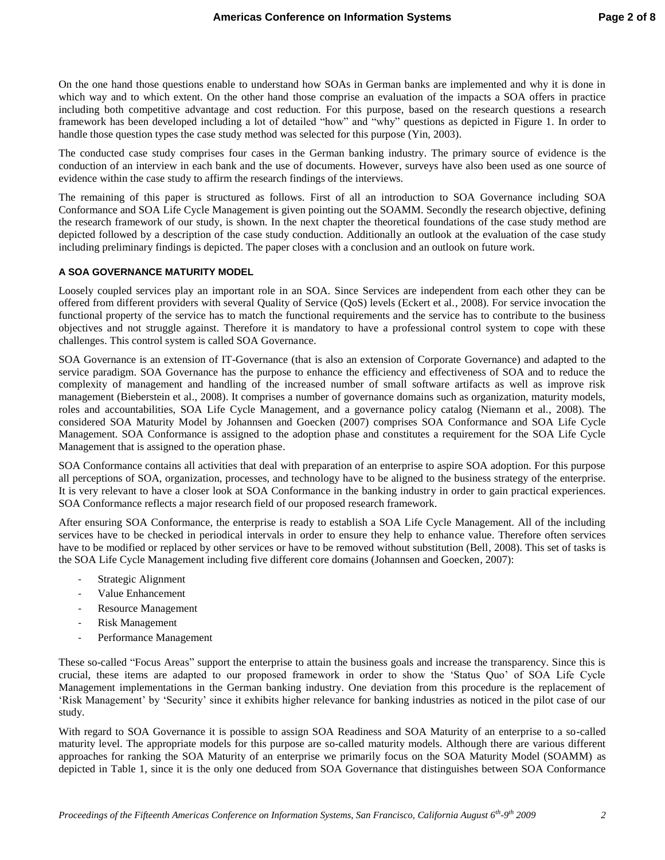On the one hand those questions enable to understand how SOAs in German banks are implemented and why it is done in which way and to which extent. On the other hand those comprise an evaluation of the impacts a SOA offers in practice including both competitive advantage and cost reduction. For this purpose, based on the research questions a research framework has been developed including a lot of detailed "how" and "why" questions as depicted in Figure 1. In order to handle those question types the case study method was selected for this purpose (Yin, 2003).

The conducted case study comprises four cases in the German banking industry. The primary source of evidence is the conduction of an interview in each bank and the use of documents. However, surveys have also been used as one source of evidence within the case study to affirm the research findings of the interviews.

The remaining of this paper is structured as follows. First of all an introduction to SOA Governance including SOA Conformance and SOA Life Cycle Management is given pointing out the SOAMM. Secondly the research objective, defining the research framework of our study, is shown. In the next chapter the theoretical foundations of the case study method are depicted followed by a description of the case study conduction. Additionally an outlook at the evaluation of the case study including preliminary findings is depicted. The paper closes with a conclusion and an outlook on future work.

#### **A SOA GOVERNANCE MATURITY MODEL**

Loosely coupled services play an important role in an SOA. Since Services are independent from each other they can be offered from different providers with several Quality of Service (QoS) levels (Eckert et al., 2008). For service invocation the functional property of the service has to match the functional requirements and the service has to contribute to the business objectives and not struggle against. Therefore it is mandatory to have a professional control system to cope with these challenges. This control system is called SOA Governance.

SOA Governance is an extension of IT-Governance (that is also an extension of Corporate Governance) and adapted to the service paradigm. SOA Governance has the purpose to enhance the efficiency and effectiveness of SOA and to reduce the complexity of management and handling of the increased number of small software artifacts as well as improve risk management (Bieberstein et al., 2008). It comprises a number of governance domains such as organization, maturity models, roles and accountabilities, SOA Life Cycle Management, and a governance policy catalog (Niemann et al., 2008). The considered SOA Maturity Model by Johannsen and Goecken (2007) comprises SOA Conformance and SOA Life Cycle Management. SOA Conformance is assigned to the adoption phase and constitutes a requirement for the SOA Life Cycle Management that is assigned to the operation phase.

SOA Conformance contains all activities that deal with preparation of an enterprise to aspire SOA adoption. For this purpose all perceptions of SOA, organization, processes, and technology have to be aligned to the business strategy of the enterprise. It is very relevant to have a closer look at SOA Conformance in the banking industry in order to gain practical experiences. SOA Conformance reflects a major research field of our proposed research framework.

After ensuring SOA Conformance, the enterprise is ready to establish a SOA Life Cycle Management. All of the including services have to be checked in periodical intervals in order to ensure they help to enhance value. Therefore often services have to be modified or replaced by other services or have to be removed without substitution (Bell, 2008). This set of tasks is the SOA Life Cycle Management including five different core domains (Johannsen and Goecken, 2007):

- Strategic Alignment
- Value Enhancement
- Resource Management
- Risk Management
- Performance Management

These so-called "Focus Areas" support the enterprise to attain the business goals and increase the transparency. Since this is crucial, these items are adapted to our proposed framework in order to show the "Status Quo" of SOA Life Cycle Management implementations in the German banking industry. One deviation from this procedure is the replacement of "Risk Management" by "Security" since it exhibits higher relevance for banking industries as noticed in the pilot case of our study.

With regard to SOA Governance it is possible to assign SOA Readiness and SOA Maturity of an enterprise to a so-called maturity level. The appropriate models for this purpose are so-called maturity models. Although there are various different approaches for ranking the SOA Maturity of an enterprise we primarily focus on the SOA Maturity Model (SOAMM) as depicted in Table 1, since it is the only one deduced from SOA Governance that distinguishes between SOA Conformance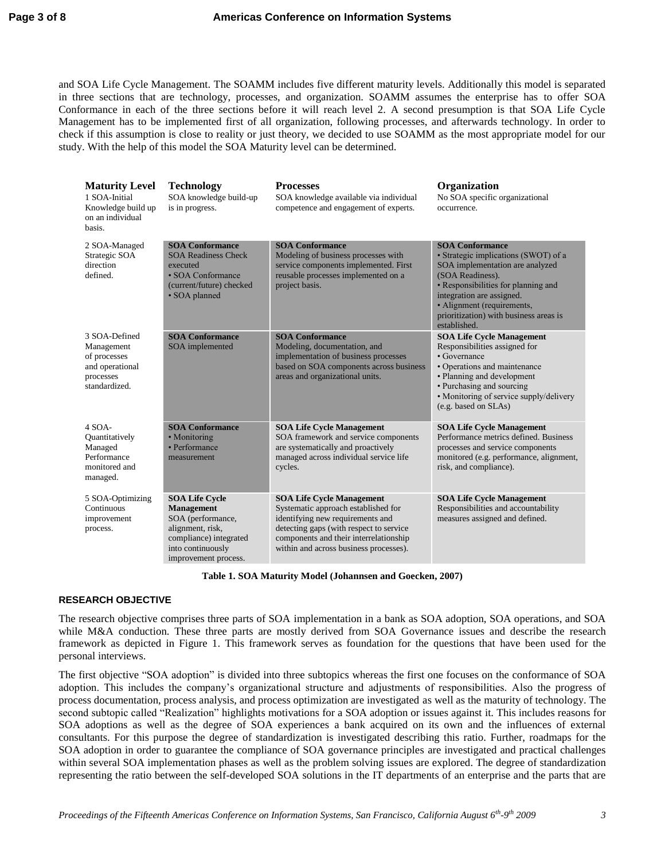and SOA Life Cycle Management. The SOAMM includes five different maturity levels. Additionally this model is separated in three sections that are technology, processes, and organization. SOAMM assumes the enterprise has to offer SOA Conformance in each of the three sections before it will reach level 2. A second presumption is that SOA Life Cycle Management has to be implemented first of all organization, following processes, and afterwards technology. In order to check if this assumption is close to reality or just theory, we decided to use SOAMM as the most appropriate model for our study. With the help of this model the SOA Maturity level can be determined.

| <b>Maturity Level</b><br>1 SOA-Initial<br>Knowledge build up<br>on an individual<br>basis.   | <b>Technology</b><br>SOA knowledge build-up<br>is in progress.                                                                                      | <b>Processes</b><br>SOA knowledge available via individual<br>competence and engagement of experts.                                                                                                                                        | Organization<br>No SOA specific organizational<br>occurrence.                                                                                                                                                                                                                     |
|----------------------------------------------------------------------------------------------|-----------------------------------------------------------------------------------------------------------------------------------------------------|--------------------------------------------------------------------------------------------------------------------------------------------------------------------------------------------------------------------------------------------|-----------------------------------------------------------------------------------------------------------------------------------------------------------------------------------------------------------------------------------------------------------------------------------|
| 2 SOA-Managed<br>Strategic SOA<br>direction<br>defined.                                      | <b>SOA Conformance</b><br><b>SOA Readiness Check</b><br>executed<br>• SOA Conformance<br>(current/future) checked<br>• SOA planned                  | <b>SOA Conformance</b><br>Modeling of business processes with<br>service components implemented. First<br>reusable processes implemented on a<br>project basis.                                                                            | <b>SOA Conformance</b><br>· Strategic implications (SWOT) of a<br>SOA implementation are analyzed<br>(SOA Readiness).<br>• Responsibilities for planning and<br>integration are assigned.<br>• Alignment (requirements,<br>prioritization) with business areas is<br>established. |
| 3 SOA-Defined<br>Management<br>of processes<br>and operational<br>processes<br>standardized. | <b>SOA Conformance</b><br>SOA implemented                                                                                                           | <b>SOA Conformance</b><br>Modeling, documentation, and<br>implementation of business processes<br>based on SOA components across business<br>areas and organizational units.                                                               | <b>SOA Life Cycle Management</b><br>Responsibilities assigned for<br>$\cdot$ Governance<br>• Operations and maintenance<br>• Planning and development<br>• Purchasing and sourcing<br>• Monitoring of service supply/delivery<br>(e.g. based on SLAs)                             |
| $4$ SOA-<br>Quantitatively<br>Managed<br>Performance<br>monitored and<br>managed.            | <b>SOA Conformance</b><br>• Monitoring<br>• Performance<br>measurement                                                                              | <b>SOA Life Cycle Management</b><br>SOA framework and service components<br>are systematically and proactively<br>managed across individual service life<br>cycles.                                                                        | <b>SOA Life Cycle Management</b><br>Performance metrics defined. Business<br>processes and service components<br>monitored (e.g. performance, alignment,<br>risk, and compliance).                                                                                                |
| 5 SOA-Optimizing<br>Continuous<br>improvement<br>process.                                    | <b>SOA Life Cycle</b><br>Management<br>SOA (performance,<br>alignment, risk,<br>compliance) integrated<br>into continuously<br>improvement process. | <b>SOA Life Cycle Management</b><br>Systematic approach established for<br>identifying new requirements and<br>detecting gaps (with respect to service<br>components and their interrelationship<br>within and across business processes). | <b>SOA Life Cycle Management</b><br>Responsibilities and accountability<br>measures assigned and defined.                                                                                                                                                                         |

**Table 1. SOA Maturity Model (Johannsen and Goecken, 2007)**

#### **RESEARCH OBJECTIVE**

The research objective comprises three parts of SOA implementation in a bank as SOA adoption, SOA operations, and SOA while M&A conduction. These three parts are mostly derived from SOA Governance issues and describe the research framework as depicted in Figure 1. This framework serves as foundation for the questions that have been used for the personal interviews.

The first objective "SOA adoption" is divided into three subtopics whereas the first one focuses on the conformance of SOA adoption. This includes the company"s organizational structure and adjustments of responsibilities. Also the progress of process documentation, process analysis, and process optimization are investigated as well as the maturity of technology. The second subtopic called "Realization" highlights motivations for a SOA adoption or issues against it. This includes reasons for SOA adoptions as well as the degree of SOA experiences a bank acquired on its own and the influences of external consultants. For this purpose the degree of standardization is investigated describing this ratio. Further, roadmaps for the SOA adoption in order to guarantee the compliance of SOA governance principles are investigated and practical challenges within several SOA implementation phases as well as the problem solving issues are explored. The degree of standardization representing the ratio between the self-developed SOA solutions in the IT departments of an enterprise and the parts that are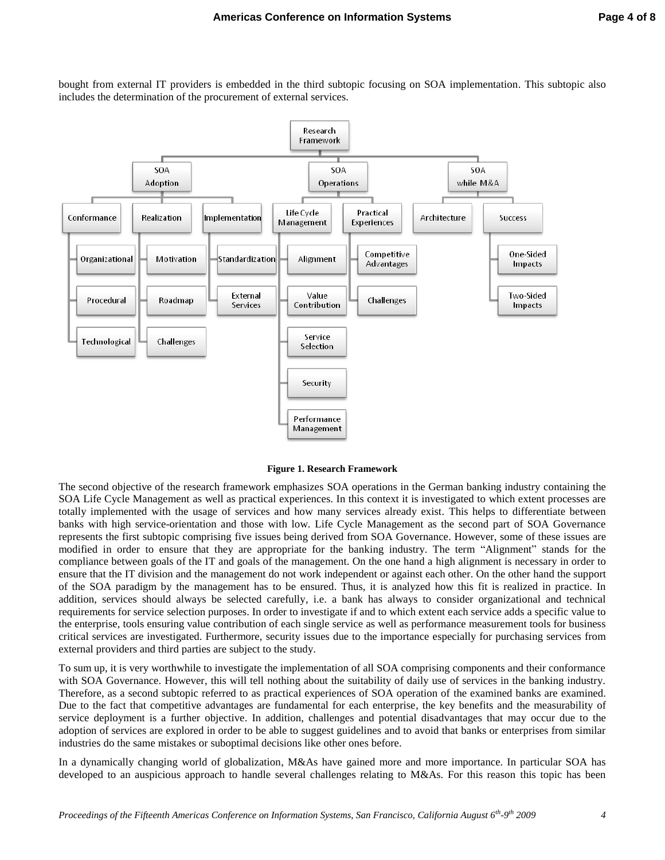bought from external IT providers is embedded in the third subtopic focusing on SOA implementation. This subtopic also includes the determination of the procurement of external services.



**Figure 1. Research Framework**

The second objective of the research framework emphasizes SOA operations in the German banking industry containing the SOA Life Cycle Management as well as practical experiences. In this context it is investigated to which extent processes are totally implemented with the usage of services and how many services already exist. This helps to differentiate between banks with high service-orientation and those with low. Life Cycle Management as the second part of SOA Governance represents the first subtopic comprising five issues being derived from SOA Governance. However, some of these issues are modified in order to ensure that they are appropriate for the banking industry. The term "Alignment" stands for the compliance between goals of the IT and goals of the management. On the one hand a high alignment is necessary in order to ensure that the IT division and the management do not work independent or against each other. On the other hand the support of the SOA paradigm by the management has to be ensured. Thus, it is analyzed how this fit is realized in practice. In addition, services should always be selected carefully, i.e. a bank has always to consider organizational and technical requirements for service selection purposes. In order to investigate if and to which extent each service adds a specific value to the enterprise, tools ensuring value contribution of each single service as well as performance measurement tools for business critical services are investigated. Furthermore, security issues due to the importance especially for purchasing services from external providers and third parties are subject to the study.

To sum up, it is very worthwhile to investigate the implementation of all SOA comprising components and their conformance with SOA Governance. However, this will tell nothing about the suitability of daily use of services in the banking industry. Therefore, as a second subtopic referred to as practical experiences of SOA operation of the examined banks are examined. Due to the fact that competitive advantages are fundamental for each enterprise, the key benefits and the measurability of service deployment is a further objective. In addition, challenges and potential disadvantages that may occur due to the adoption of services are explored in order to be able to suggest guidelines and to avoid that banks or enterprises from similar industries do the same mistakes or suboptimal decisions like other ones before.

In a dynamically changing world of globalization, M&As have gained more and more importance. In particular SOA has developed to an auspicious approach to handle several challenges relating to M&As. For this reason this topic has been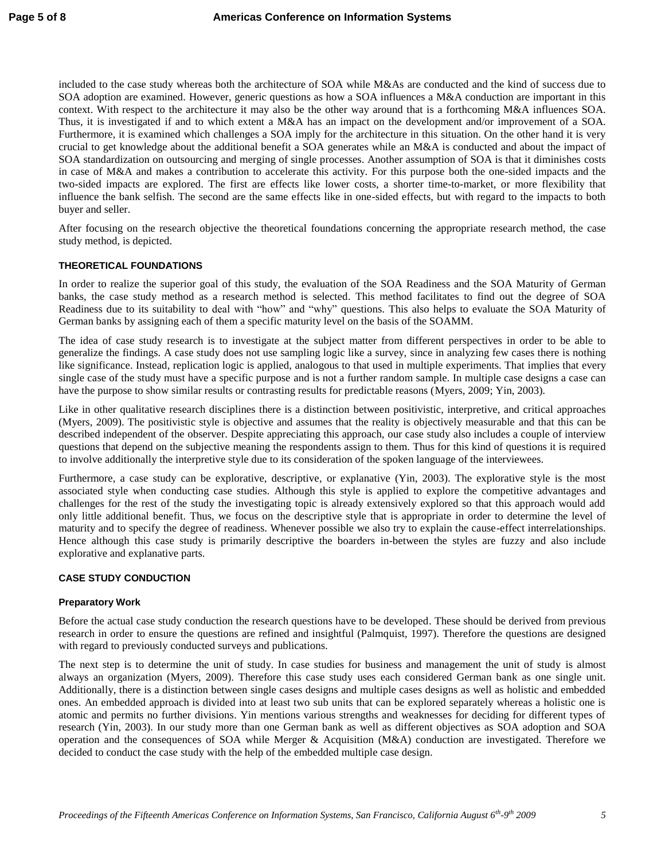included to the case study whereas both the architecture of SOA while M&As are conducted and the kind of success due to SOA adoption are examined. However, generic questions as how a SOA influences a M&A conduction are important in this context. With respect to the architecture it may also be the other way around that is a forthcoming M&A influences SOA. Thus, it is investigated if and to which extent a M&A has an impact on the development and/or improvement of a SOA. Furthermore, it is examined which challenges a SOA imply for the architecture in this situation. On the other hand it is very crucial to get knowledge about the additional benefit a SOA generates while an M&A is conducted and about the impact of SOA standardization on outsourcing and merging of single processes. Another assumption of SOA is that it diminishes costs in case of M&A and makes a contribution to accelerate this activity. For this purpose both the one-sided impacts and the two-sided impacts are explored. The first are effects like lower costs, a shorter time-to-market, or more flexibility that influence the bank selfish. The second are the same effects like in one-sided effects, but with regard to the impacts to both buyer and seller.

After focusing on the research objective the theoretical foundations concerning the appropriate research method, the case study method, is depicted.

#### **THEORETICAL FOUNDATIONS**

In order to realize the superior goal of this study, the evaluation of the SOA Readiness and the SOA Maturity of German banks, the case study method as a research method is selected. This method facilitates to find out the degree of SOA Readiness due to its suitability to deal with "how" and "why" questions. This also helps to evaluate the SOA Maturity of German banks by assigning each of them a specific maturity level on the basis of the SOAMM.

The idea of case study research is to investigate at the subject matter from different perspectives in order to be able to generalize the findings. A case study does not use sampling logic like a survey, since in analyzing few cases there is nothing like significance. Instead, replication logic is applied, analogous to that used in multiple experiments. That implies that every single case of the study must have a specific purpose and is not a further random sample. In multiple case designs a case can have the purpose to show similar results or contrasting results for predictable reasons (Myers, 2009; Yin, 2003).

Like in other qualitative research disciplines there is a distinction between positivistic, interpretive, and critical approaches (Myers, 2009). The positivistic style is objective and assumes that the reality is objectively measurable and that this can be described independent of the observer. Despite appreciating this approach, our case study also includes a couple of interview questions that depend on the subjective meaning the respondents assign to them. Thus for this kind of questions it is required to involve additionally the interpretive style due to its consideration of the spoken language of the interviewees.

Furthermore, a case study can be explorative, descriptive, or explanative (Yin, 2003). The explorative style is the most associated style when conducting case studies. Although this style is applied to explore the competitive advantages and challenges for the rest of the study the investigating topic is already extensively explored so that this approach would add only little additional benefit. Thus, we focus on the descriptive style that is appropriate in order to determine the level of maturity and to specify the degree of readiness. Whenever possible we also try to explain the cause-effect interrelationships. Hence although this case study is primarily descriptive the boarders in-between the styles are fuzzy and also include explorative and explanative parts.

#### **CASE STUDY CONDUCTION**

#### **Preparatory Work**

Before the actual case study conduction the research questions have to be developed. These should be derived from previous research in order to ensure the questions are refined and insightful (Palmquist, 1997). Therefore the questions are designed with regard to previously conducted surveys and publications.

The next step is to determine the unit of study. In case studies for business and management the unit of study is almost always an organization (Myers, 2009). Therefore this case study uses each considered German bank as one single unit. Additionally, there is a distinction between single cases designs and multiple cases designs as well as holistic and embedded ones. An embedded approach is divided into at least two sub units that can be explored separately whereas a holistic one is atomic and permits no further divisions. Yin mentions various strengths and weaknesses for deciding for different types of research (Yin, 2003). In our study more than one German bank as well as different objectives as SOA adoption and SOA operation and the consequences of SOA while Merger & Acquisition (M&A) conduction are investigated. Therefore we decided to conduct the case study with the help of the embedded multiple case design.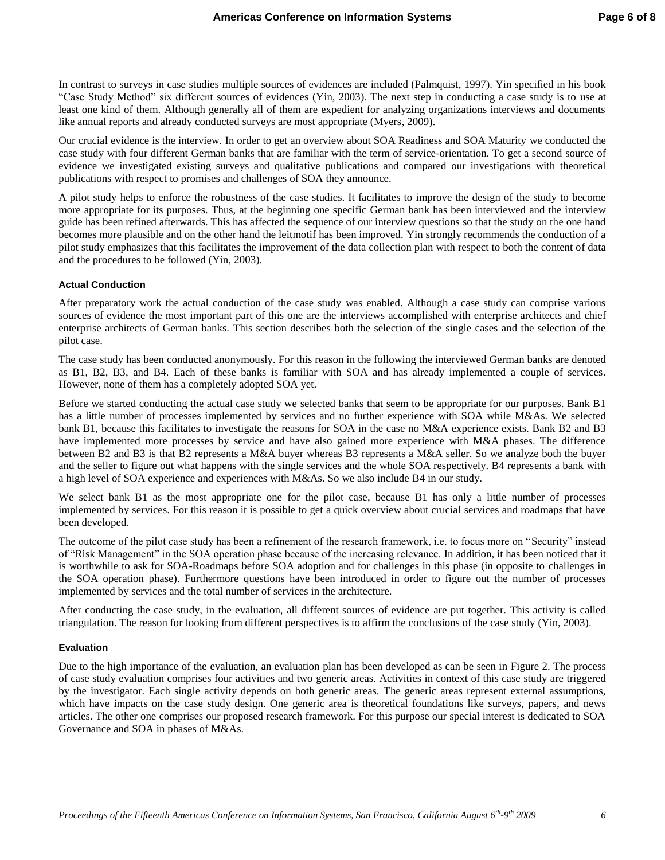In contrast to surveys in case studies multiple sources of evidences are included (Palmquist, 1997). Yin specified in his book "Case Study Method" six different sources of evidences (Yin, 2003). The next step in conducting a case study is to use at least one kind of them. Although generally all of them are expedient for analyzing organizations interviews and documents like annual reports and already conducted surveys are most appropriate (Myers, 2009).

Our crucial evidence is the interview. In order to get an overview about SOA Readiness and SOA Maturity we conducted the case study with four different German banks that are familiar with the term of service-orientation. To get a second source of evidence we investigated existing surveys and qualitative publications and compared our investigations with theoretical publications with respect to promises and challenges of SOA they announce.

A pilot study helps to enforce the robustness of the case studies. It facilitates to improve the design of the study to become more appropriate for its purposes. Thus, at the beginning one specific German bank has been interviewed and the interview guide has been refined afterwards. This has affected the sequence of our interview questions so that the study on the one hand becomes more plausible and on the other hand the leitmotif has been improved. Yin strongly recommends the conduction of a pilot study emphasizes that this facilitates the improvement of the data collection plan with respect to both the content of data and the procedures to be followed (Yin, 2003).

#### **Actual Conduction**

After preparatory work the actual conduction of the case study was enabled. Although a case study can comprise various sources of evidence the most important part of this one are the interviews accomplished with enterprise architects and chief enterprise architects of German banks. This section describes both the selection of the single cases and the selection of the pilot case.

The case study has been conducted anonymously. For this reason in the following the interviewed German banks are denoted as B1, B2, B3, and B4. Each of these banks is familiar with SOA and has already implemented a couple of services. However, none of them has a completely adopted SOA yet.

Before we started conducting the actual case study we selected banks that seem to be appropriate for our purposes. Bank B1 has a little number of processes implemented by services and no further experience with SOA while M&As. We selected bank B1, because this facilitates to investigate the reasons for SOA in the case no M&A experience exists. Bank B2 and B3 have implemented more processes by service and have also gained more experience with M&A phases. The difference between B2 and B3 is that B2 represents a M&A buyer whereas B3 represents a M&A seller. So we analyze both the buyer and the seller to figure out what happens with the single services and the whole SOA respectively. B4 represents a bank with a high level of SOA experience and experiences with M&As. So we also include B4 in our study.

We select bank B1 as the most appropriate one for the pilot case, because B1 has only a little number of processes implemented by services. For this reason it is possible to get a quick overview about crucial services and roadmaps that have been developed.

The outcome of the pilot case study has been a refinement of the research framework, i.e. to focus more on "Security" instead of "Risk Management" in the SOA operation phase because of the increasing relevance. In addition, it has been noticed that it is worthwhile to ask for SOA-Roadmaps before SOA adoption and for challenges in this phase (in opposite to challenges in the SOA operation phase). Furthermore questions have been introduced in order to figure out the number of processes implemented by services and the total number of services in the architecture.

After conducting the case study, in the evaluation, all different sources of evidence are put together. This activity is called triangulation. The reason for looking from different perspectives is to affirm the conclusions of the case study (Yin, 2003).

#### **Evaluation**

Due to the high importance of the evaluation, an evaluation plan has been developed as can be seen in Figure 2. The process of case study evaluation comprises four activities and two generic areas. Activities in context of this case study are triggered by the investigator. Each single activity depends on both generic areas. The generic areas represent external assumptions, which have impacts on the case study design. One generic area is theoretical foundations like surveys, papers, and news articles. The other one comprises our proposed research framework. For this purpose our special interest is dedicated to SOA Governance and SOA in phases of M&As.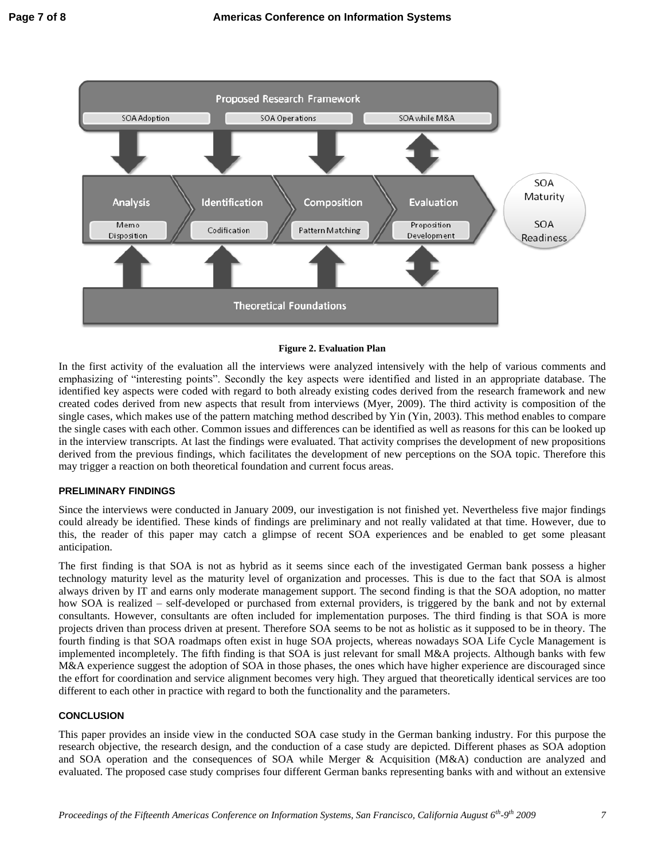

#### **Figure 2. Evaluation Plan**

In the first activity of the evaluation all the interviews were analyzed intensively with the help of various comments and emphasizing of "interesting points". Secondly the key aspects were identified and listed in an appropriate database. The identified key aspects were coded with regard to both already existing codes derived from the research framework and new created codes derived from new aspects that result from interviews (Myer, 2009). The third activity is composition of the single cases, which makes use of the pattern matching method described by Yin (Yin, 2003). This method enables to compare the single cases with each other. Common issues and differences can be identified as well as reasons for this can be looked up in the interview transcripts. At last the findings were evaluated. That activity comprises the development of new propositions derived from the previous findings, which facilitates the development of new perceptions on the SOA topic. Therefore this may trigger a reaction on both theoretical foundation and current focus areas.

#### **PRELIMINARY FINDINGS**

Since the interviews were conducted in January 2009, our investigation is not finished yet. Nevertheless five major findings could already be identified. These kinds of findings are preliminary and not really validated at that time. However, due to this, the reader of this paper may catch a glimpse of recent SOA experiences and be enabled to get some pleasant anticipation.

The first finding is that SOA is not as hybrid as it seems since each of the investigated German bank possess a higher technology maturity level as the maturity level of organization and processes. This is due to the fact that SOA is almost always driven by IT and earns only moderate management support. The second finding is that the SOA adoption, no matter how SOA is realized – self-developed or purchased from external providers, is triggered by the bank and not by external consultants. However, consultants are often included for implementation purposes. The third finding is that SOA is more projects driven than process driven at present. Therefore SOA seems to be not as holistic as it supposed to be in theory. The fourth finding is that SOA roadmaps often exist in huge SOA projects, whereas nowadays SOA Life Cycle Management is implemented incompletely. The fifth finding is that SOA is just relevant for small M&A projects. Although banks with few M&A experience suggest the adoption of SOA in those phases, the ones which have higher experience are discouraged since the effort for coordination and service alignment becomes very high. They argued that theoretically identical services are too different to each other in practice with regard to both the functionality and the parameters.

#### **CONCLUSION**

This paper provides an inside view in the conducted SOA case study in the German banking industry. For this purpose the research objective, the research design, and the conduction of a case study are depicted. Different phases as SOA adoption and SOA operation and the consequences of SOA while Merger & Acquisition (M&A) conduction are analyzed and evaluated. The proposed case study comprises four different German banks representing banks with and without an extensive